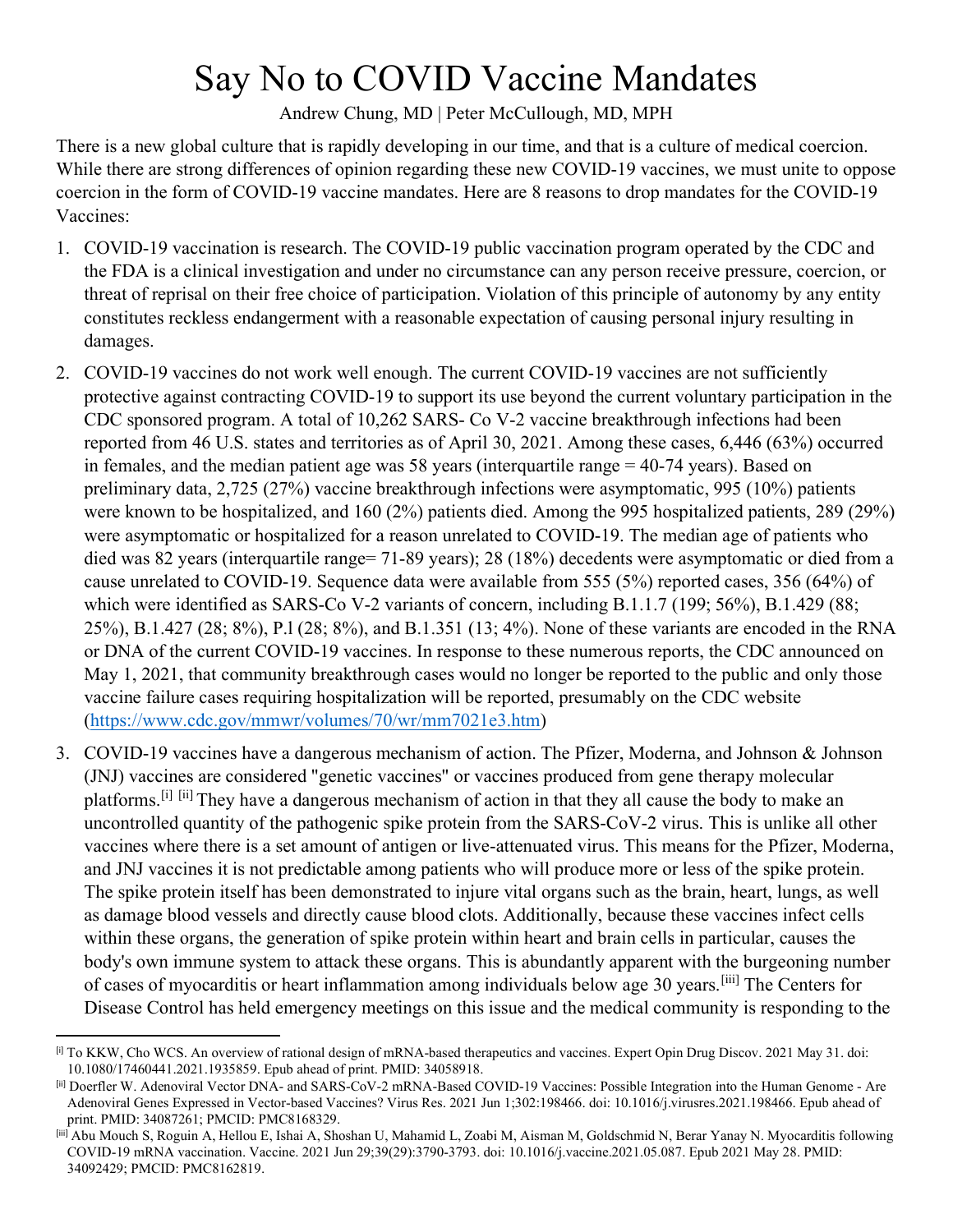## Say No to COVID Vaccine Mandates

Andrew Chung, MD | Peter McCullough, MD, MPH

There is a new global culture that is rapidly developing in our time, and that is a culture of medical coercion. While there are strong differences of opinion regarding these new COVID-19 vaccines, we must unite to oppose coercion in the form of COVID-19 vaccine mandates. Here are 8 reasons to drop mandates for the COVID-19 Vaccines:

- 1. COVID-19 vaccination is research. The COVID-19 public vaccination program operated by the CDC and the FDA is a clinical investigation and under no circumstance can any person receive pressure, coercion, or threat of reprisal on their free choice of participation. Violation of this principle of autonomy by any entity constitutes reckless endangerment with a reasonable expectation of causing personal injury resulting in damages.
- 2. COVID-19 vaccines do not work well enough. The current COVID-19 vaccines are not sufficiently protective against contracting COVID-19 to support its use beyond the current voluntary participation in the CDC sponsored program. A total of 10,262 SARS- Co V-2 vaccine breakthrough infections had been reported from 46 U.S. states and territories as of April 30, 2021. Among these cases, 6,446 (63%) occurred in females, and the median patient age was 58 years (interquartile range = 40-74 years). Based on preliminary data, 2,725 (27%) vaccine breakthrough infections were asymptomatic, 995 (10%) patients were known to be hospitalized, and 160 (2%) patients died. Among the 995 hospitalized patients, 289 (29%) were asymptomatic or hospitalized for a reason unrelated to COVID-19. The median age of patients who died was 82 years (interquartile range= 71-89 years); 28 (18%) decedents were asymptomatic or died from a cause unrelated to COVID-19. Sequence data were available from 555 (5%) reported cases, 356 (64%) of which were identified as SARS-Co V-2 variants of concern, including B.1.1.7 (199; 56%), B.1.429 (88; 25%), B.1.427 (28; 8%), P.l (28; 8%), and B.1.351 (13; 4%). None of these variants are encoded in the RNA or DNA of the current COVID-19 vaccines. In response to these numerous reports, the CDC announced on May 1, 2021, that community breakthrough cases would no longer be reported to the public and only those vaccine failure cases requiring hospitalization will be reported, presumably on the CDC website [\(https://www.cdc.gov/mmwr/volumes/70/wr/mm7021e3.htm\)](https://www.cdc.gov/mmwr/volumes/70/wr/mm7021e3.htm)
- 3. COVID-19 vaccines have a dangerous mechanism of action. The Pfizer, Moderna, and Johnson & Johnson (JNJ) vaccines are considered "genetic vaccines" or vaccines produced from gene therapy molecular platforms.[\[i\]](#page-0-0) [\[ii\]](#page-0-1) They have a dangerous mechanism of action in that they all cause the body to make an uncontrolled quantity of the pathogenic spike protein from the SARS-CoV-2 virus. This is unlike all other vaccines where there is a set amount of antigen or live-attenuated virus. This means for the Pfizer, Moderna, and JNJ vaccines it is not predictable among patients who will produce more or less of the spike protein. The spike protein itself has been demonstrated to injure vital organs such as the brain, heart, lungs, as well as damage blood vessels and directly cause blood clots. Additionally, because these vaccines infect cells within these organs, the generation of spike protein within heart and brain cells in particular, causes the body's own immune system to attack these organs. This is abundantly apparent with the burgeoning number of cases of myocarditis or heart inflammation among individuals below age 30 years.[\[iii\]](#page-0-2) The Centers for Disease Control has held emergency meetings on this issue and the medical community is responding to the

<span id="page-0-0"></span><sup>[</sup>i] To KKW, Cho WCS. An overview of rational design of mRNA-based therapeutics and vaccines. Expert Opin Drug Discov. 2021 May 31. doi: 10.1080/17460441.2021.1935859. Epub ahead of print. PMID: 34058918.

<span id="page-0-1"></span><sup>[</sup>ii] Doerfler W. Adenoviral Vector DNA- and SARS-CoV-2 mRNA-Based COVID-19 Vaccines: Possible Integration into the Human Genome - Are Adenoviral Genes Expressed in Vector-based Vaccines? Virus Res. 2021 Jun 1;302:198466. doi: 10.1016/j.virusres.2021.198466. Epub ahead of print. PMID: 34087261; PMCID: PMC8168329.

<span id="page-0-2"></span><sup>[</sup>iii] Abu Mouch S, Roguin A, Hellou E, Ishai A, Shoshan U, Mahamid L, Zoabi M, Aisman M, Goldschmid N, Berar Yanay N. Myocarditis following COVID-19 mRNA vaccination. Vaccine. 2021 Jun 29;39(29):3790-3793. doi: 10.1016/j.vaccine.2021.05.087. Epub 2021 May 28. PMID: 34092429; PMCID: PMC8162819.